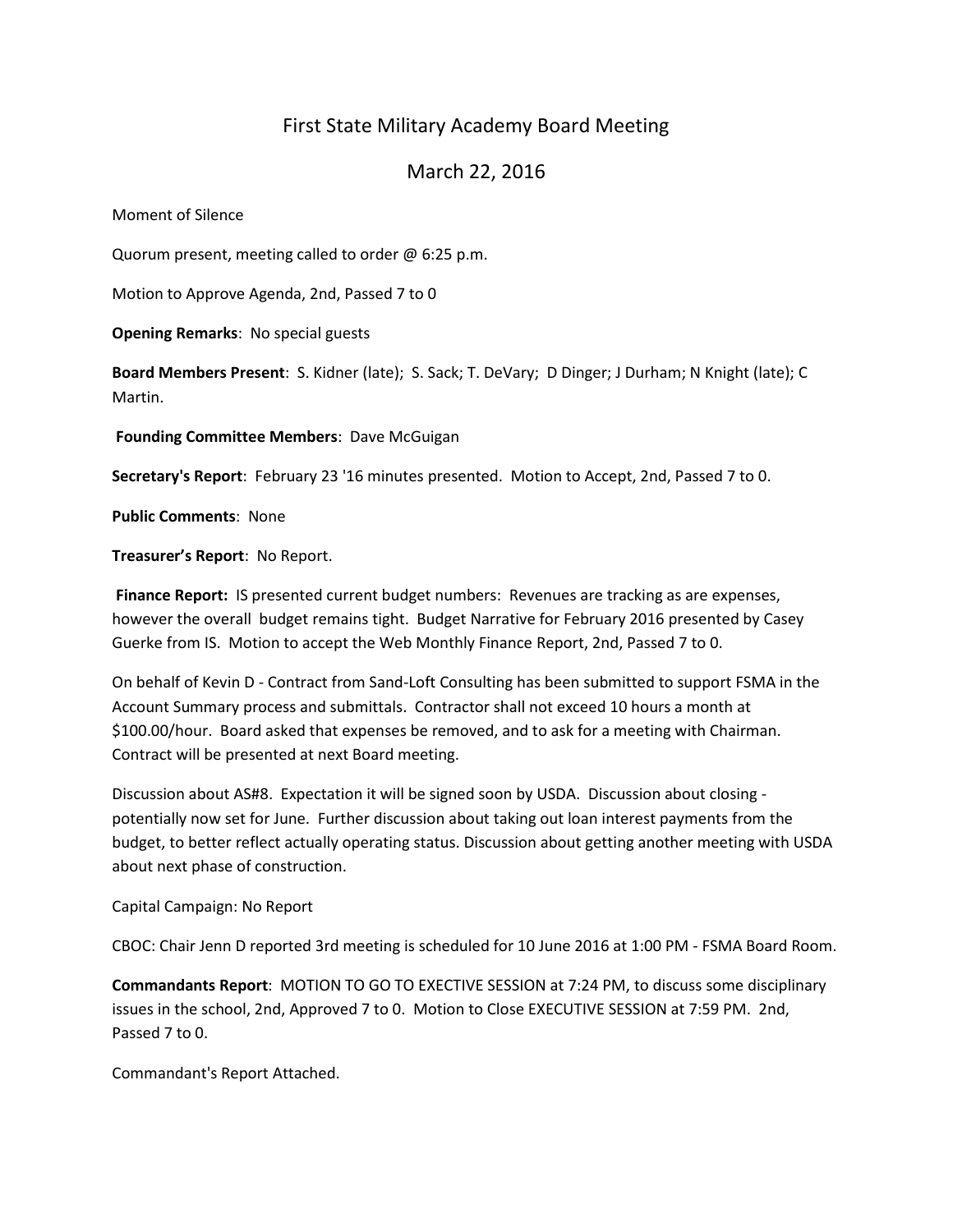# First State Military Academy Board Meeting

# March 22, 2016

Moment of Silence

Quorum present, meeting called to order @ 6:25 p.m.

Motion to Approve Agenda, 2nd, Passed 7 to 0

**Opening Remarks**: No special guests

**Board Members Present**: S. Kidner (late); S. Sack; T. DeVary; D Dinger; J Durham; N Knight (late); C Martin.

**Founding Committee Members**: Dave McGuigan

**Secretary's Report**: February 23 '16 minutes presented. Motion to Accept, 2nd, Passed 7 to 0.

**Public Comments**: None

**Treasurer's Report**: No Report.

**Finance Report:** IS presented current budget numbers: Revenues are tracking as are expenses, however the overall budget remains tight. Budget Narrative for February 2016 presented by Casey Guerke from IS. Motion to accept the Web Monthly Finance Report, 2nd, Passed 7 to 0.

On behalf of Kevin D - Contract from Sand-Loft Consulting has been submitted to support FSMA in the Account Summary process and submittals. Contractor shall not exceed 10 hours a month at \$100.00/hour. Board asked that expenses be removed, and to ask for a meeting with Chairman. Contract will be presented at next Board meeting.

Discussion about AS#8. Expectation it will be signed soon by USDA. Discussion about closing potentially now set for June. Further discussion about taking out loan interest payments from the budget, to better reflect actually operating status. Discussion about getting another meeting with USDA about next phase of construction.

Capital Campaign: No Report

CBOC: Chair Jenn D reported 3rd meeting is scheduled for 10 June 2016 at 1:00 PM - FSMA Board Room.

**Commandants Report**: MOTION TO GO TO EXECTIVE SESSION at 7:24 PM, to discuss some disciplinary issues in the school, 2nd, Approved 7 to 0. Motion to Close EXECUTIVE SESSION at 7:59 PM. 2nd, Passed 7 to 0.

Commandant's Report Attached.